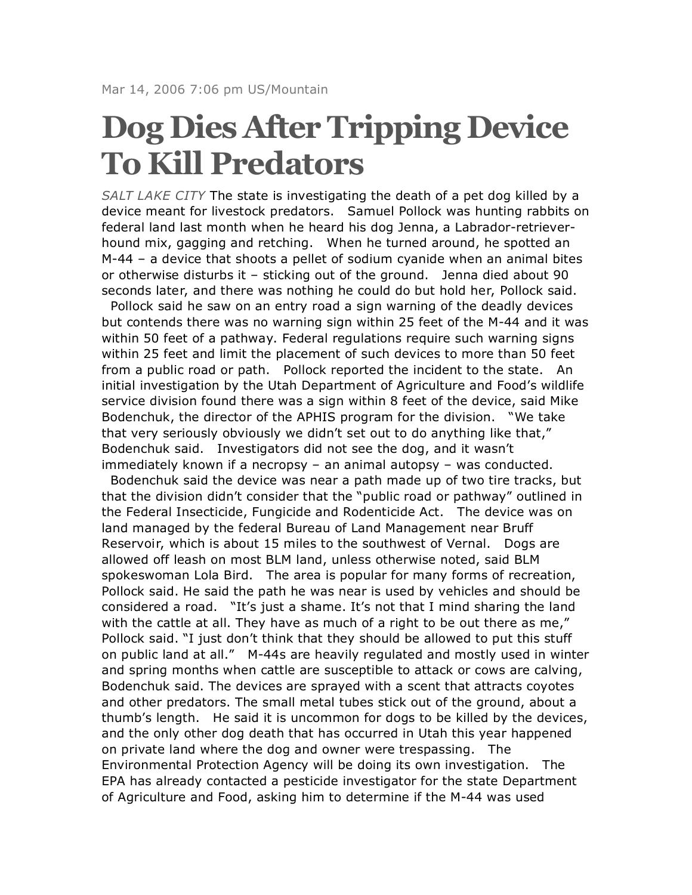## **Dog Dies After Tripping Device To Kill Predators**

*SALT LAKE CITY* The state is investigating the death of a pet dog killed by a device meant for livestock predators. Samuel Pollock was hunting rabbits on federal land last month when he heard his dog Jenna, a Labrador-retrieverhound mix, gagging and retching. When he turned around, he spotted an M-44 – a device that shoots a pellet of sodium cyanide when an animal bites or otherwise disturbs it – sticking out of the ground. Jenna died about 90 seconds later, and there was nothing he could do but hold her, Pollock said.

Pollock said he saw on an entry road a sign warning of the deadly devices but contends there was no warning sign within 25 feet of the M-44 and it was within 50 feet of a pathway. Federal regulations require such warning signs within 25 feet and limit the placement of such devices to more than 50 feet from a public road or path. Pollock reported the incident to the state. An initial investigation by the Utah Department of Agriculture and Food's wildlife service division found there was a sign within 8 feet of the device, said Mike Bodenchuk, the director of the APHIS program for the division. "We take that very seriously obviously we didn't set out to do anything like that," Bodenchuk said. Investigators did not see the dog, and it wasn't immediately known if a necropsy – an animal autopsy – was conducted.

Bodenchuk said the device was near a path made up of two tire tracks, but that the division didn't consider that the "public road or pathway" outlined in the Federal Insecticide, Fungicide and Rodenticide Act. The device was on land managed by the federal Bureau of Land Management near Bruff Reservoir, which is about 15 miles to the southwest of Vernal. Dogs are allowed off leash on most BLM land, unless otherwise noted, said BLM spokeswoman Lola Bird. The area is popular for many forms of recreation, Pollock said. He said the path he was near is used by vehicles and should be considered a road. "It's just a shame. It's not that I mind sharing the land with the cattle at all. They have as much of a right to be out there as me," Pollock said. "I just don't think that they should be allowed to put this stuff on public land at all." M-44s are heavily regulated and mostly used in winter and spring months when cattle are susceptible to attack or cows are calving, Bodenchuk said. The devices are sprayed with a scent that attracts coyotes and other predators. The small metal tubes stick out of the ground, about a thumb's length. He said it is uncommon for dogs to be killed by the devices, and the only other dog death that has occurred in Utah this year happened on private land where the dog and owner were trespassing. The Environmental Protection Agency will be doing its own investigation. The EPA has already contacted a pesticide investigator for the state Department of Agriculture and Food, asking him to determine if the M-44 was used